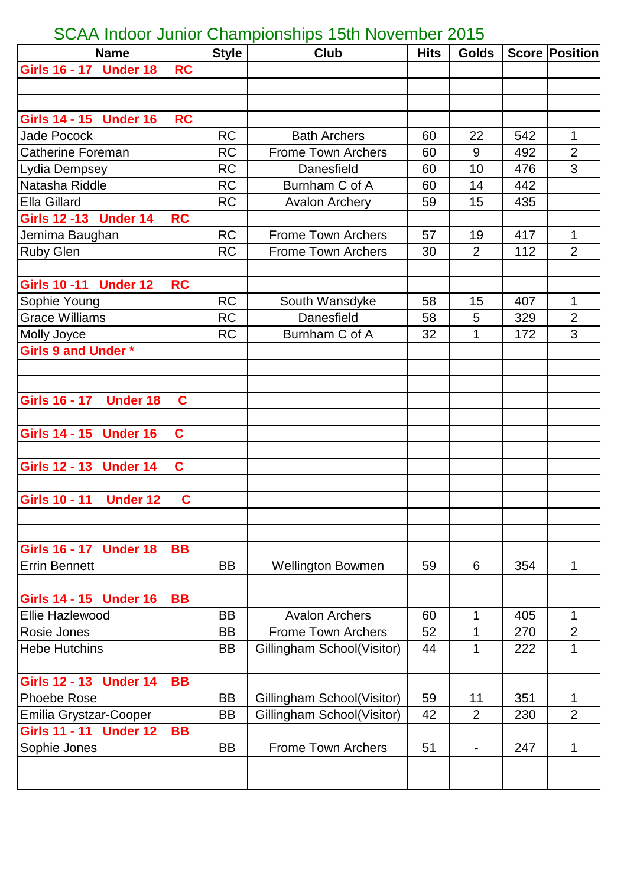## SCAA Indoor Junior Championships 15th November 2015

| <b>Name</b>                             |             | <b>Style</b> | <b>Club</b>                | <b>Hits</b> | <b>Golds</b>             |     | <b>Score Position</b> |
|-----------------------------------------|-------------|--------------|----------------------------|-------------|--------------------------|-----|-----------------------|
| Girls 16 - 17<br><b>Under 18</b>        | <b>RC</b>   |              |                            |             |                          |     |                       |
|                                         |             |              |                            |             |                          |     |                       |
|                                         |             |              |                            |             |                          |     |                       |
| Girls 14 - 15 Under 16                  | <b>RC</b>   |              |                            |             |                          |     |                       |
| <b>Jade Pocock</b>                      |             | <b>RC</b>    | <b>Bath Archers</b>        | 60          | 22                       | 542 | 1                     |
| <b>Catherine Foreman</b>                |             | <b>RC</b>    | <b>Frome Town Archers</b>  | 60          | 9                        | 492 | $\overline{2}$        |
| Lydia Dempsey                           |             | <b>RC</b>    | Danesfield                 | 60          | 10                       | 476 | 3                     |
| Natasha Riddle                          |             | <b>RC</b>    | Burnham C of A             | 60          | 14                       | 442 |                       |
| <b>Ella Gillard</b>                     |             | <b>RC</b>    | <b>Avalon Archery</b>      | 59          | 15                       | 435 |                       |
| <b>Girls 12 -13 Under 14</b>            | <b>RC</b>   |              |                            |             |                          |     |                       |
| Jemima Baughan                          |             | <b>RC</b>    | <b>Frome Town Archers</b>  | 57          | 19                       | 417 | 1                     |
| <b>Ruby Glen</b>                        |             | <b>RC</b>    | <b>Frome Town Archers</b>  | 30          | $\overline{2}$           | 112 | $\overline{2}$        |
|                                         |             |              |                            |             |                          |     |                       |
| Girls 10 -11 Under 12                   | <b>RC</b>   |              |                            |             |                          |     |                       |
| Sophie Young                            |             | <b>RC</b>    | South Wansdyke             | 58          | 15                       | 407 | 1                     |
| <b>Grace Williams</b>                   |             | <b>RC</b>    | Danesfield                 | 58          | 5                        | 329 | $\overline{2}$        |
| Molly Joyce                             |             | <b>RC</b>    | Burnham C of A             | 32          | 1                        | 172 | 3                     |
| Girls 9 and Under *                     |             |              |                            |             |                          |     |                       |
|                                         |             |              |                            |             |                          |     |                       |
|                                         |             |              |                            |             |                          |     |                       |
| <b>Girls 16 - 17</b><br><b>Under 18</b> | C           |              |                            |             |                          |     |                       |
|                                         |             |              |                            |             |                          |     |                       |
| Girls 14 - 15 Under 16                  | $\mathbf c$ |              |                            |             |                          |     |                       |
|                                         |             |              |                            |             |                          |     |                       |
| Girls 12 - 13 Under 14                  | $\mathbf c$ |              |                            |             |                          |     |                       |
|                                         |             |              |                            |             |                          |     |                       |
| <b>Girls 10 - 11</b><br><b>Under 12</b> | C           |              |                            |             |                          |     |                       |
|                                         |             |              |                            |             |                          |     |                       |
|                                         |             |              |                            |             |                          |     |                       |
| Girls 16 - 17 Under 18                  | <b>BB</b>   |              |                            |             |                          |     |                       |
| <b>Errin Bennett</b>                    |             | <b>BB</b>    | <b>Wellington Bowmen</b>   | 59          | 6                        | 354 | 1                     |
|                                         |             |              |                            |             |                          |     |                       |
| Girls 14 - 15 Under 16                  | <b>BB</b>   |              |                            |             |                          |     |                       |
| Ellie Hazlewood                         |             | <b>BB</b>    | <b>Avalon Archers</b>      | 60          | 1                        | 405 | 1                     |
| Rosie Jones                             |             | <b>BB</b>    | <b>Frome Town Archers</b>  | 52          | 1                        | 270 | $\overline{2}$        |
| <b>Hebe Hutchins</b>                    |             | BB           | Gillingham School(Visitor) | 44          | 1                        | 222 | 1                     |
|                                         |             |              |                            |             |                          |     |                       |
| <b>Girls 12 - 13</b><br><b>Under 14</b> | <b>BB</b>   |              |                            |             |                          |     |                       |
| <b>Phoebe Rose</b>                      |             | <b>BB</b>    | Gillingham School(Visitor) | 59          | 11                       | 351 | 1                     |
| Emilia Grystzar-Cooper                  |             | BB           | Gillingham School(Visitor) | 42          | 2                        | 230 | $\overline{2}$        |
| Girls 11 - 11 Under 12                  | <b>BB</b>   |              |                            |             |                          |     |                       |
| Sophie Jones                            |             | <b>BB</b>    | <b>Frome Town Archers</b>  | 51          | $\overline{\phantom{a}}$ | 247 | 1                     |
|                                         |             |              |                            |             |                          |     |                       |
|                                         |             |              |                            |             |                          |     |                       |
|                                         |             |              |                            |             |                          |     |                       |